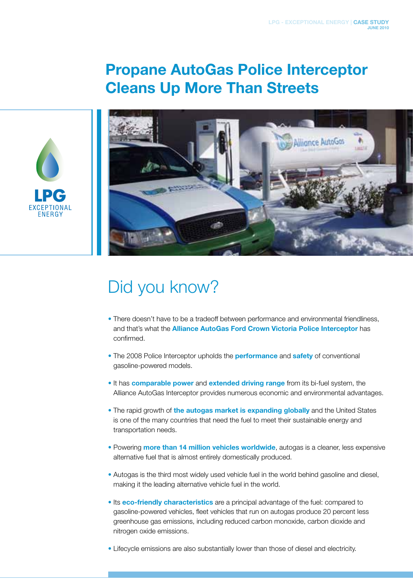## Propane AutoGas Police Interceptor Cleans Up More Than Streets





## Did you know?

- There doesn't have to be a tradeoff between performance and environmental friendliness, and that's what the Alliance AutoGas Ford Crown Victoria Police Interceptor has confirmed.
- The 2008 Police Interceptor upholds the **performance** and **safety** of conventional gasoline-powered models.
- It has comparable power and extended driving range from its bi-fuel system, the Alliance AutoGas Interceptor provides numerous economic and environmental advantages.
- The rapid growth of the autogas market is expanding globally and the United States is one of the many countries that need the fuel to meet their sustainable energy and transportation needs.
- Powering more than 14 million vehicles worldwide, autogas is a cleaner, less expensive alternative fuel that is almost entirely domestically produced.
- Autogas is the third most widely used vehicle fuel in the world behind gasoline and diesel, making it the leading alternative vehicle fuel in the world.
- Its eco-friendly characteristics are a principal advantage of the fuel: compared to gasoline-powered vehicles, fleet vehicles that run on autogas produce 20 percent less greenhouse gas emissions, including reduced carbon monoxide, carbon dioxide and nitrogen oxide emissions.
- Lifecycle emissions are also substantially lower than those of diesel and electricity.